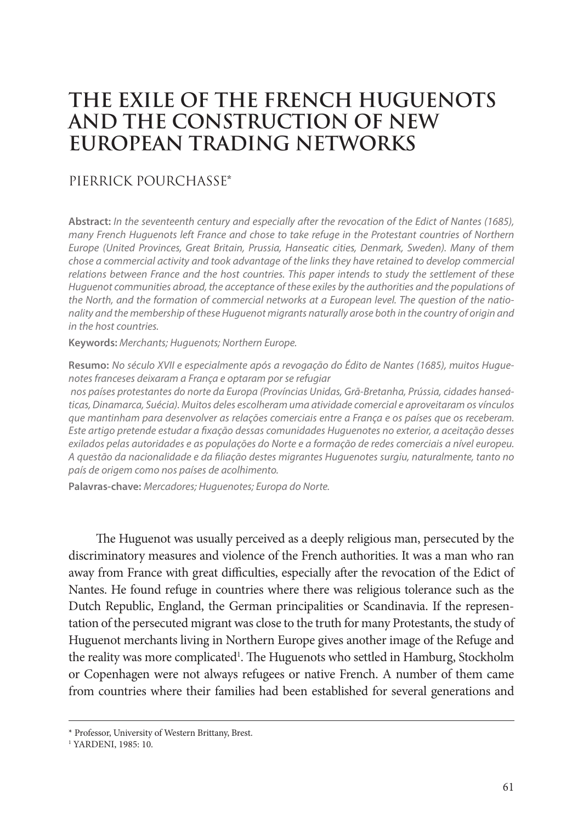# **THE EXILE OF THE FRENCH HUGUENOTS AND THE CONSTRUCTION OF NEW EUROPEAN TRADING NETWORKS**

## PIERRICK POURCHASSE\*

**Abstract:** *In the seventeenth century and especially after the revocation of the Edict of Nantes (1685), many French Huguenots left France and chose to take refuge in the Protestant countries of Northern Europe (United Provinces, Great Britain, Prussia, Hanseatic cities, Denmark, Sweden). Many of them chose a commercial activity and took advantage of the links they have retained to develop commercial relations between France and the host countries. This paper intends to study the settlement of these Huguenot communities abroad, the acceptance of these exiles by the authorities and the populations of the North, and the formation of commercial networks at a European level. The question of the nationality and the membership of these Huguenot migrants naturally arose both in the country of origin and in the host countries.*

**Keywords:** *Merchants; Huguenots; Northern Europe.*

**Resumo:** *No século XVII e especialmente após a revogação do Édito de Nantes (1685), muitos Huguenotes franceses deixaram a França e optaram por se refugiar*

 *nos países protestantes do norte da Europa (Províncias Unidas, Grã-Bretanha, Prússia, cidades hanseáticas, Dinamarca, Suécia). Muitos deles escolheram uma atividade comercial e aproveitaram os vínculos que mantinham para desenvolver as relações comerciais entre a França e os países que os receberam. Este artigo pretende estudar a fixação dessas comunidades Huguenotes no exterior, a aceitação desses exilados pelas autoridades e as populações do Norte e a formação de redes comerciais a nível europeu. A questão da nacionalidade e da filiação destes migrantes Huguenotes surgiu, naturalmente, tanto no país de origem como nos países de acolhimento.*

**Palavras‑chave:** *Mercadores; Huguenotes; Europa do Norte.*

The Huguenot was usually perceived as a deeply religious man, persecuted by the discriminatory measures and violence of the French authorities. It was a man who ran away from France with great difficulties, especially after the revocation of the Edict of Nantes. He found refuge in countries where there was religious tolerance such as the Dutch Republic, England, the German principalities or Scandinavia. If the representation of the persecuted migrant was close to the truth for many Protestants, the study of Huguenot merchants living in Northern Europe gives another image of the Refuge and the reality was more complicated<sup>1</sup>. The Huguenots who settled in Hamburg, Stockholm or Copenhagen were not always refugees or native French. A number of them came from countries where their families had been established for several generations and

<sup>\*</sup> Professor, University of Western Brittany, Brest.

<sup>1</sup> YARDENI, 1985: 10.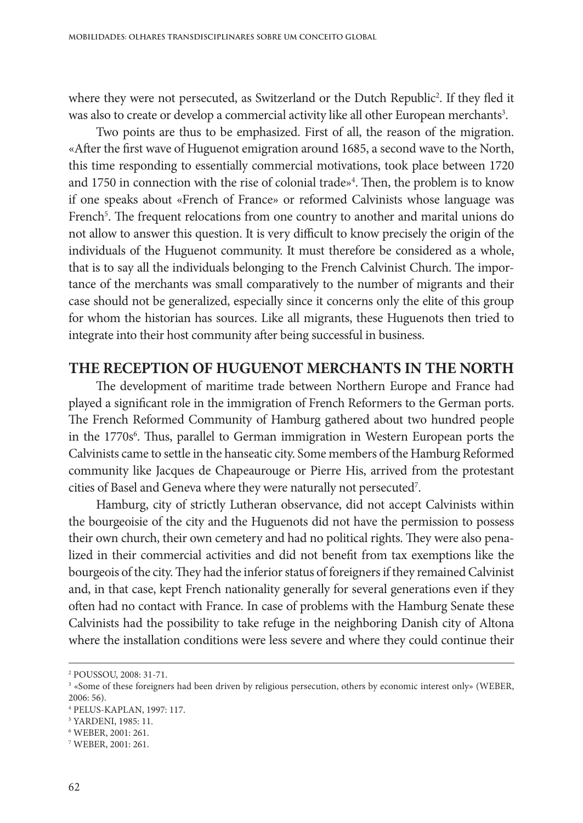where they were not persecuted, as Switzerland or the Dutch Republic<sup>2</sup>. If they fled it was also to create or develop a commercial activity like all other European merchants<sup>3</sup>.

Two points are thus to be emphasized. First of all, the reason of the migration. «After the first wave of Huguenot emigration around 1685, a second wave to the North, this time responding to essentially commercial motivations, took place between 1720 and 1750 in connection with the rise of colonial trade»<sup>4</sup>. Then, the problem is to know if one speaks about «French of France» or reformed Calvinists whose language was French<sup>5</sup>. The frequent relocations from one country to another and marital unions do not allow to answer this question. It is very difficult to know precisely the origin of the individuals of the Huguenot community. It must therefore be considered as a whole, that is to say all the individuals belonging to the French Calvinist Church. The importance of the merchants was small comparatively to the number of migrants and their case should not be generalized, especially since it concerns only the elite of this group for whom the historian has sources. Like all migrants, these Huguenots then tried to integrate into their host community after being successful in business.

#### **THE RECEPTION OF HUGUENOT MERCHANTS IN THE NORTH**

The development of maritime trade between Northern Europe and France had played a significant role in the immigration of French Reformers to the German ports. The French Reformed Community of Hamburg gathered about two hundred people in the 1770s<sup>6</sup>. Thus, parallel to German immigration in Western European ports the Calvinists came to settle in the hanseatic city. Some members of the Hamburg Reformed community like Jacques de Chapeaurouge or Pierre His, arrived from the protestant cities of Basel and Geneva where they were naturally not persecuted7 .

Hamburg, city of strictly Lutheran observance, did not accept Calvinists within the bourgeoisie of the city and the Huguenots did not have the permission to possess their own church, their own cemetery and had no political rights. They were also penalized in their commercial activities and did not benefit from tax exemptions like the bourgeois of the city. They had the inferior status of foreigners if they remained Calvinist and, in that case, kept French nationality generally for several generations even if they often had no contact with France. In case of problems with the Hamburg Senate these Calvinists had the possibility to take refuge in the neighboring Danish city of Altona where the installation conditions were less severe and where they could continue their

<sup>2</sup> POUSSOU, 2008: 31-71.

<sup>3</sup> «Some of these foreigners had been driven by religious persecution, others by economic interest only» (WEBER, 2006: 56).

<sup>4</sup> PELUS-KAPLAN, 1997: 117.

<sup>5</sup> YARDENI, 1985: 11.

<sup>6</sup> WEBER, 2001: 261.

<sup>7</sup> WEBER, 2001: 261.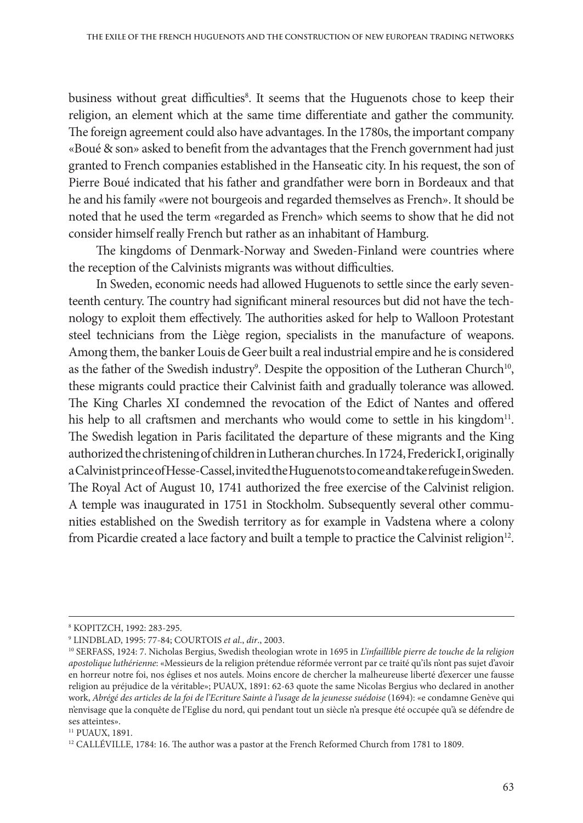business without great difficulties<sup>8</sup>. It seems that the Huguenots chose to keep their religion, an element which at the same time differentiate and gather the community. The foreign agreement could also have advantages. In the 1780s, the important company «Boué & son» asked to benefit from the advantages that the French government had just granted to French companies established in the Hanseatic city. In his request, the son of Pierre Boué indicated that his father and grandfather were born in Bordeaux and that he and his family «were not bourgeois and regarded themselves as French». It should be noted that he used the term «regarded as French» which seems to show that he did not consider himself really French but rather as an inhabitant of Hamburg.

The kingdoms of Denmark-Norway and Sweden-Finland were countries where the reception of the Calvinists migrants was without difficulties.

In Sweden, economic needs had allowed Huguenots to settle since the early seventeenth century. The country had significant mineral resources but did not have the technology to exploit them effectively. The authorities asked for help to Walloon Protestant steel technicians from the Liège region, specialists in the manufacture of weapons. Among them, the banker Louis de Geer built a real industrial empire and he is considered as the father of the Swedish industry<sup>9</sup>. Despite the opposition of the Lutheran Church<sup>10</sup>, these migrants could practice their Calvinist faith and gradually tolerance was allowed. The King Charles XI condemned the revocation of the Edict of Nantes and offered his help to all craftsmen and merchants who would come to settle in his kingdom<sup>11</sup>. The Swedish legation in Paris facilitated the departure of these migrants and the King authorized the christening of children in Lutheran churches. In 1724, Frederick I, originally a Calvinist prince of Hesse-Cassel, invited the Huguenots to come and take refuge in Sweden. The Royal Act of August 10, 1741 authorized the free exercise of the Calvinist religion. A temple was inaugurated in 1751 in Stockholm. Subsequently several other communities established on the Swedish territory as for example in Vadstena where a colony from Picardie created a lace factory and built a temple to practice the Calvinist religion<sup>12</sup>.

<sup>8</sup> KOPITZCH, 1992: 283-295.

<sup>9</sup> LINDBLAD, 1995: 77-84; COURTOIS *et al*., *dir*., 2003.

<sup>10</sup> SERFASS, 1924: 7. Nicholas Bergius, Swedish theologian wrote in 1695 in *L'infaillible pierre de touche de la religion apostolique luthérienne*: «Messieurs de la religion prétendue réformée verront par ce traité qu'ils n'ont pas sujet d'avoir en horreur notre foi, nos églises et nos autels. Moins encore de chercher la malheureuse liberté d'exercer une fausse religion au préjudice de la véritable»; PUAUX, 1891: 62-63 quote the same Nicolas Bergius who declared in another work, *Abrégé des articles de la foi de l'Ecriture Sainte à l'usage de la jeunesse suédoise* (1694): «e condamne Genève qui n'envisage que la conquête de l'Eglise du nord, qui pendant tout un siècle n'a presque été occupée qu'à se défendre de ses atteintes».

<sup>11</sup> PUAUX, 1891.

<sup>&</sup>lt;sup>12</sup> CALLÉVILLE, 1784: 16. The author was a pastor at the French Reformed Church from 1781 to 1809.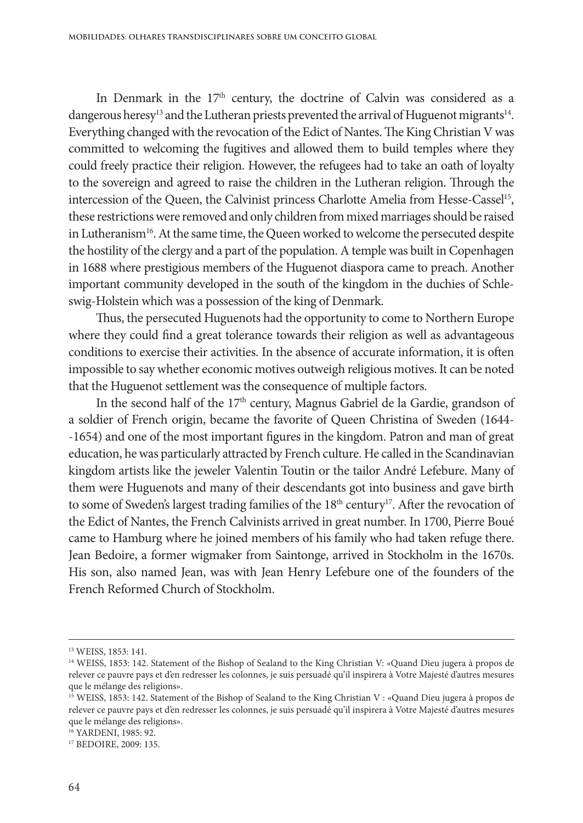In Denmark in the  $17<sup>th</sup>$  century, the doctrine of Calvin was considered as a dangerous heresy<sup>13</sup> and the Lutheran priests prevented the arrival of Huguenot migrants<sup>14</sup>. Everything changed with the revocation of the Edict of Nantes. The King Christian V was committed to welcoming the fugitives and allowed them to build temples where they could freely practice their religion. However, the refugees had to take an oath of loyalty to the sovereign and agreed to raise the children in the Lutheran religion. Through the intercession of the Queen, the Calvinist princess Charlotte Amelia from Hesse-Cassel<sup>15</sup>, these restrictions were removed and only children from mixed marriages should be raised in Lutheranism<sup>16</sup>. At the same time, the Queen worked to welcome the persecuted despite the hostility of the clergy and a part of the population. A temple was built in Copenhagen in 1688 where prestigious members of the Huguenot diaspora came to preach. Another important community developed in the south of the kingdom in the duchies of Schleswig-Holstein which was a possession of the king of Denmark.

Thus, the persecuted Huguenots had the opportunity to come to Northern Europe where they could find a great tolerance towards their religion as well as advantageous conditions to exercise their activities. In the absence of accurate information, it is often impossible to say whether economic motives outweigh religious motives. It can be noted that the Huguenot settlement was the consequence of multiple factors.

In the second half of the 17<sup>th</sup> century, Magnus Gabriel de la Gardie, grandson of a soldier of French origin, became the favorite of Queen Christina of Sweden (1644--1654) and one of the most important figures in the kingdom. Patron and man of great education, he was particularly attracted by French culture. He called in the Scandinavian kingdom artists like the jeweler Valentin Toutin or the tailor André Lefebure. Many of them were Huguenots and many of their descendants got into business and gave birth to some of Sweden's largest trading families of the 18<sup>th</sup> century<sup>17</sup>. After the revocation of the Edict of Nantes, the French Calvinists arrived in great number. In 1700, Pierre Boué came to Hamburg where he joined members of his family who had taken refuge there. Jean Bedoire, a former wigmaker from Saintonge, arrived in Stockholm in the 1670s. His son, also named Jean, was with Jean Henry Lefebure one of the founders of the French Reformed Church of Stockholm.

16 YARDENI, 1985: 92.

<sup>13</sup> WEISS, 1853: 141.

<sup>&</sup>lt;sup>14</sup> WEISS, 1853: 142. Statement of the Bishop of Sealand to the King Christian V: «Quand Dieu jugera à propos de relever ce pauvre pays et d'en redresser les colonnes, je suis persuadé qu'il inspirera à Votre Majesté d'autres mesures que le mélange des religions».

<sup>&</sup>lt;sup>15</sup> WEISS, 1853: 142. Statement of the Bishop of Sealand to the King Christian V : «Quand Dieu jugera à propos de relever ce pauvre pays et d'en redresser les colonnes, je suis persuadé qu'il inspirera à Votre Majesté d'autres mesures que le mélange des religions».

<sup>17</sup> BEDOIRE, 2009: 135.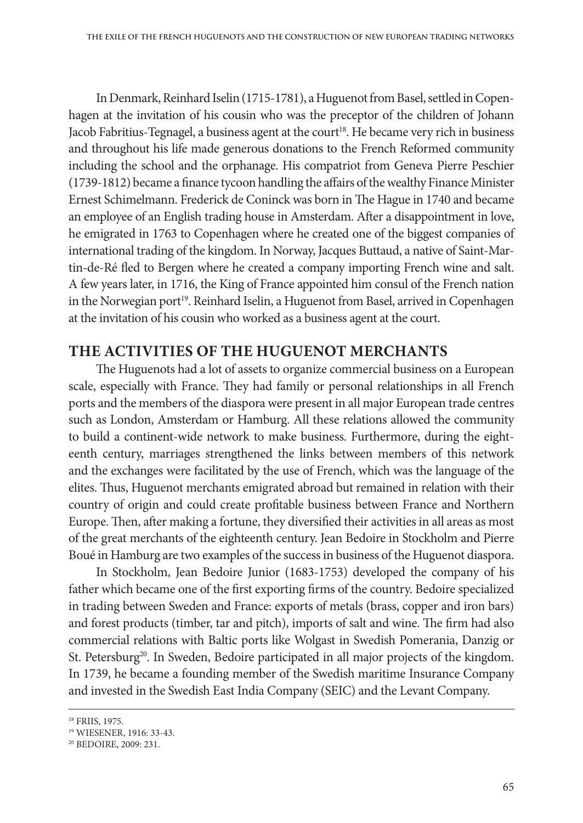In Denmark, Reinhard Iselin (1715-1781), a Huguenot from Basel, settled in Copenhagen at the invitation of his cousin who was the preceptor of the children of Johann Jacob Fabritius-Tegnagel, a business agent at the court<sup>18</sup>. He became very rich in business and throughout his life made generous donations to the French Reformed community including the school and the orphanage. His compatriot from Geneva Pierre Peschier (1739-1812) became a finance tycoon handling the affairs of the wealthy Finance Minister Ernest Schimelmann. Frederick de Coninck was born in The Hague in 1740 and became an employee of an English trading house in Amsterdam. After a disappointment in love, he emigrated in 1763 to Copenhagen where he created one of the biggest companies of international trading of the kingdom. In Norway, Jacques Buttaud, a native of Saint-Mar‑ tin-de-Ré fled to Bergen where he created a company importing French wine and salt. A few years later, in 1716, the King of France appointed him consul of the French nation in the Norwegian port<sup>19</sup>. Reinhard Iselin, a Huguenot from Basel, arrived in Copenhagen at the invitation of his cousin who worked as a business agent at the court.

## **THE ACTIVITIES OF THE HUGUENOT MERCHANTS**

The Huguenots had a lot of assets to organize commercial business on a European scale, especially with France. They had family or personal relationships in all French ports and the members of the diaspora were present in all major European trade centres such as London, Amsterdam or Hamburg. All these relations allowed the community to build a continent-wide network to make business. Furthermore, during the eighteenth century, marriages strengthened the links between members of this network and the exchanges were facilitated by the use of French, which was the language of the elites. Thus, Huguenot merchants emigrated abroad but remained in relation with their country of origin and could create profitable business between France and Northern Europe. Then, after making a fortune, they diversified their activities in all areas as most of the great merchants of the eighteenth century. Jean Bedoire in Stockholm and Pierre Boué in Hamburg are two examples of the success in business of the Huguenot diaspora.

In Stockholm, Jean Bedoire Junior (1683-1753) developed the company of his father which became one of the first exporting firms of the country. Bedoire specialized in trading between Sweden and France: exports of metals (brass, copper and iron bars) and forest products (timber, tar and pitch), imports of salt and wine. The firm had also commercial relations with Baltic ports like Wolgast in Swedish Pomerania, Danzig or St. Petersburg<sup>20</sup>. In Sweden, Bedoire participated in all major projects of the kingdom. In 1739, he became a founding member of the Swedish maritime Insurance Company and invested in the Swedish East India Company (SEIC) and the Levant Company.

<sup>18</sup> FRIIS, 1975.

<sup>19</sup> WIESENER, 1916: 33-43.

<sup>20</sup> BEDOIRE, 2009: 231.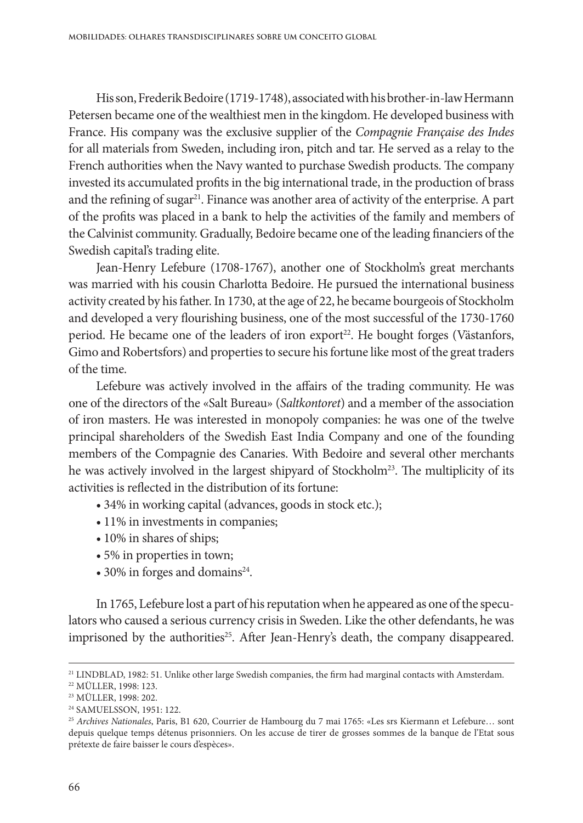His son, Frederik Bedoire (1719-1748), associated with his brother-in-law Hermann Petersen became one of the wealthiest men in the kingdom. He developed business with France. His company was the exclusive supplier of the *Compagnie Française des Indes*  for all materials from Sweden, including iron, pitch and tar. He served as a relay to the French authorities when the Navy wanted to purchase Swedish products. The company invested its accumulated profits in the big international trade, in the production of brass and the refining of sugar<sup>21</sup>. Finance was another area of activity of the enterprise. A part of the profits was placed in a bank to help the activities of the family and members of the Calvinist community. Gradually, Bedoire became one of the leading financiers of the Swedish capital's trading elite.

Jean-Henry Lefebure (1708-1767), another one of Stockholm's great merchants was married with his cousin Charlotta Bedoire. He pursued the international business activity created by his father. In 1730, at the age of 22, he became bourgeois of Stockholm and developed a very flourishing business, one of the most successful of the 1730-1760 period. He became one of the leaders of iron export<sup>22</sup>. He bought forges (Västanfors, Gimo and Robertsfors) and properties to secure his fortune like most of the great traders of the time.

Lefebure was actively involved in the affairs of the trading community. He was one of the directors of the «Salt Bureau» (*Saltkontoret*) and a member of the association of iron masters. He was interested in monopoly companies: he was one of the twelve principal shareholders of the Swedish East India Company and one of the founding members of the Compagnie des Canaries. With Bedoire and several other merchants he was actively involved in the largest shipyard of Stockholm<sup>23</sup>. The multiplicity of its activities is reflected in the distribution of its fortune:

- 34% in working capital (advances, goods in stock etc.);
- 11% in investments in companies;
- 10% in shares of ships;
- 5% in properties in town;
- 30% in forges and domains<sup>24</sup>.

In 1765, Lefebure lost a part of his reputation when he appeared as one of the speculators who caused a serious currency crisis in Sweden. Like the other defendants, he was imprisoned by the authorities<sup>25</sup>. After Jean-Henry's death, the company disappeared.

<sup>21</sup> LINDBLAD, 1982: 51. Unlike other large Swedish companies, the firm had marginal contacts with Amsterdam.

<sup>22</sup> MÜLLER, 1998: 123.

<sup>23</sup> MÜLLER, 1998: 202.

<sup>24</sup> SAMUELSSON, 1951: 122.

<sup>25</sup> *Archives Nationales*, Paris, B1 620, Courrier de Hambourg du 7 mai 1765: «Les srs Kiermann et Lefebure… sont depuis quelque temps détenus prisonniers. On les accuse de tirer de grosses sommes de la banque de l'Etat sous prétexte de faire baisser le cours d'espèces».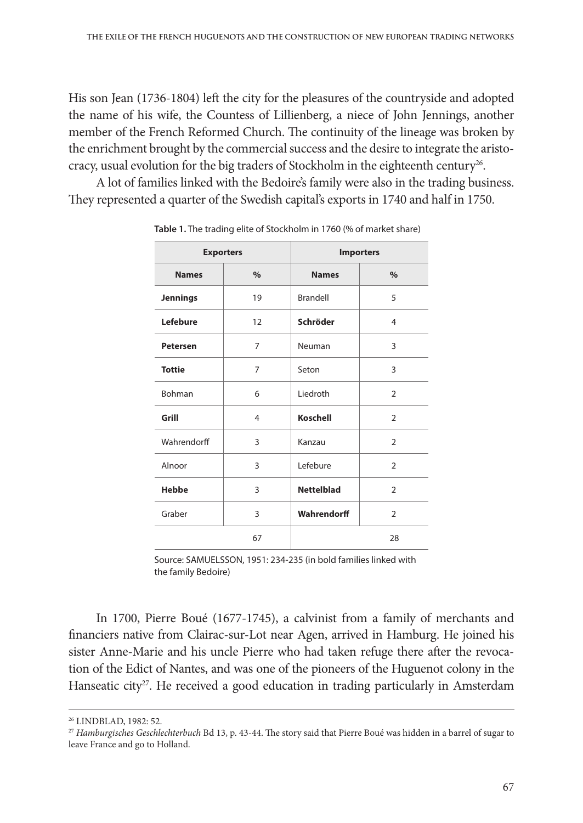His son Jean (1736-1804) left the city for the pleasures of the countryside and adopted the name of his wife, the Countess of Lillienberg, a niece of John Jennings, another member of the French Reformed Church. The continuity of the lineage was broken by the enrichment brought by the commercial success and the desire to integrate the aristocracy, usual evolution for the big traders of Stockholm in the eighteenth century<sup>26</sup>.

A lot of families linked with the Bedoire's family were also in the trading business. They represented a quarter of the Swedish capital's exports in 1740 and half in 1750.

| <b>Exporters</b> |                | <b>Importers</b>  |                |  |
|------------------|----------------|-------------------|----------------|--|
| <b>Names</b>     | $\%$           | <b>Names</b>      | $\%$           |  |
| <b>Jennings</b>  | 19             | Brandell          | 5              |  |
| Lefebure         | 12             | Schröder          | 4              |  |
| <b>Petersen</b>  | 7              | Neuman            | 3              |  |
| <b>Tottie</b>    | 7              | Seton             | 3              |  |
| Bohman           | 6              | Liedroth          | $\overline{2}$ |  |
| Grill            | $\overline{4}$ | Koschell          | $\mathcal{P}$  |  |
| Wahrendorff      | 3              | Kanzau            | $\overline{2}$ |  |
| Alnoor           | 3              | Lefebure          | $\overline{2}$ |  |
| <b>Hebbe</b>     | 3              | <b>Nettelblad</b> | $\overline{2}$ |  |
| Graber           | 3              | Wahrendorff       | $\overline{2}$ |  |
|                  | 67             |                   | 28             |  |

**Table 1.** The trading elite of Stockholm in 1760 (% of market share)

Source: SAMUELSSON, 1951: 234-235 (in bold families linked with the family Bedoire)

In 1700, Pierre Boué (1677-1745), a calvinist from a family of merchants and financiers native from Clairac-sur-Lot near Agen, arrived in Hamburg. He joined his sister Anne-Marie and his uncle Pierre who had taken refuge there after the revocation of the Edict of Nantes, and was one of the pioneers of the Huguenot colony in the Hanseatic city<sup>27</sup>. He received a good education in trading particularly in Amsterdam

<sup>26</sup> LINDBLAD, 1982: 52.

<sup>27</sup> *Hamburgisches Geschlechterbuch* Bd 13, p. 43-44. The story said that Pierre Boué was hidden in a barrel of sugar to leave France and go to Holland.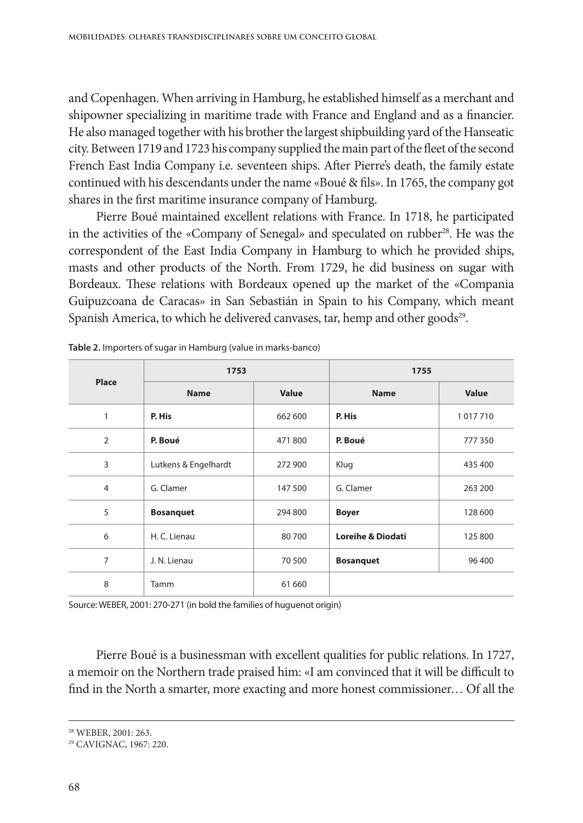and Copenhagen. When arriving in Hamburg, he established himself as a merchant and shipowner specializing in maritime trade with France and England and as a financier. He also managed together with his brother the largest shipbuilding yard of the Hanseatic city. Between 1719 and 1723 his company supplied the main part of the fleet of the second French East India Company i.e. seventeen ships. After Pierre's death, the family estate continued with his descendants under the name «Boué & fils». In 1765, the company got shares in the first maritime insurance company of Hamburg.

Pierre Boué maintained excellent relations with France. In 1718, he participated in the activities of the «Company of Senegal» and speculated on rubber<sup>28</sup>. He was the correspondent of the East India Company in Hamburg to which he provided ships, masts and other products of the North. From 1729, he did business on sugar with Bordeaux. These relations with Bordeaux opened up the market of the «Compania Guipuzcoana de Caracas» in San Sebastián in Spain to his Company, which meant Spanish America, to which he delivered canvases, tar, hemp and other goods<sup>29</sup>.

| Place          | 1753                 |              | 1755                         |         |
|----------------|----------------------|--------------|------------------------------|---------|
|                | <b>Name</b>          | <b>Value</b> | <b>Name</b>                  | Value   |
| 1              | P. His               | 662 600      | P. His                       | 1017710 |
| $\overline{2}$ | P. Boué              | 471800       | P. Boué                      | 777350  |
| 3              | Lutkens & Engelhardt | 272 900      | Klug                         | 435 400 |
| $\overline{4}$ | G. Clamer            | 147 500      | G. Clamer                    | 263 200 |
| 5              | <b>Bosanquet</b>     | 294 800      | <b>Boyer</b>                 | 128 600 |
| 6              | H. C. Lienau         | 80700        | <b>Loreihe &amp; Diodati</b> | 125 800 |
| 7              | J. N. Lienau         | 70 500       | <b>Bosanquet</b>             | 96 400  |
| 8              | Tamm                 | 61 660       |                              |         |

**Table 2.** Importers of sugar in Hamburg (value in marks-banco)

Source: WEBER, 2001: 270-271 (in bold the families of huguenot origin)

Pierre Boué is a businessman with excellent qualities for public relations. In 1727, a memoir on the Northern trade praised him: «I am convinced that it will be difficult to find in the North a smarter, more exacting and more honest commissioner… Of all the

<sup>28</sup> WEBER, 2001: 263.

<sup>29</sup> CAVIGNAC, 1967: 220.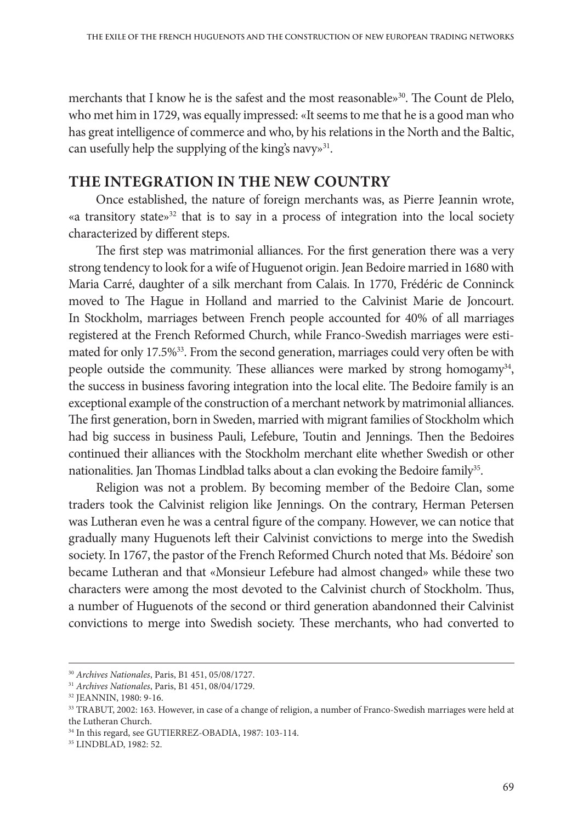merchants that I know he is the safest and the most reasonable $\delta^{30}$ . The Count de Plelo, who met him in 1729, was equally impressed: «It seems to me that he is a good man who has great intelligence of commerce and who, by his relations in the North and the Baltic, can usefully help the supplying of the king's navy»<sup>31</sup>.

### **THE INTEGRATION IN THE NEW COUNTRY**

Once established, the nature of foreign merchants was, as Pierre Jeannin wrote, «a transitory state»<sup>32</sup> that is to say in a process of integration into the local society characterized by different steps.

The first step was matrimonial alliances. For the first generation there was a very strong tendency to look for a wife of Huguenot origin. Jean Bedoire married in 1680 with Maria Carré, daughter of a silk merchant from Calais. In 1770, Frédéric de Conninck moved to The Hague in Holland and married to the Calvinist Marie de Joncourt. In Stockholm, marriages between French people accounted for 40% of all marriages registered at the French Reformed Church, while Franco-Swedish marriages were estimated for only 17.5%<sup>33</sup>. From the second generation, marriages could very often be with people outside the community. These alliances were marked by strong homogamy<sup>34</sup>, the success in business favoring integration into the local elite. The Bedoire family is an exceptional example of the construction of a merchant network by matrimonial alliances. The first generation, born in Sweden, married with migrant families of Stockholm which had big success in business Pauli, Lefebure, Toutin and Jennings. Then the Bedoires continued their alliances with the Stockholm merchant elite whether Swedish or other nationalities. Jan Thomas Lindblad talks about a clan evoking the Bedoire family<sup>35</sup>.

Religion was not a problem. By becoming member of the Bedoire Clan, some traders took the Calvinist religion like Jennings. On the contrary, Herman Petersen was Lutheran even he was a central figure of the company. However, we can notice that gradually many Huguenots left their Calvinist convictions to merge into the Swedish society. In 1767, the pastor of the French Reformed Church noted that Ms. Bédoire' son became Lutheran and that «Monsieur Lefebure had almost changed» while these two characters were among the most devoted to the Calvinist church of Stockholm. Thus, a number of Huguenots of the second or third generation abandonned their Calvinist convictions to merge into Swedish society. These merchants, who had converted to

<sup>30</sup> *Archives Nationales*, Paris, B1 451, 05/08/1727.

<sup>31</sup> *Archives Nationales*, Paris, B1 451, 08/04/1729.

<sup>32</sup> JEANNIN, 1980: 9-16.

<sup>33</sup> TRABUT, 2002: 163. However, in case of a change of religion, a number of Franco-Swedish marriages were held at the Lutheran Church.

<sup>34</sup> In this regard, see GUTIERREZ-OBADIA, 1987: 103-114.

<sup>35</sup> LINDBLAD, 1982: 52.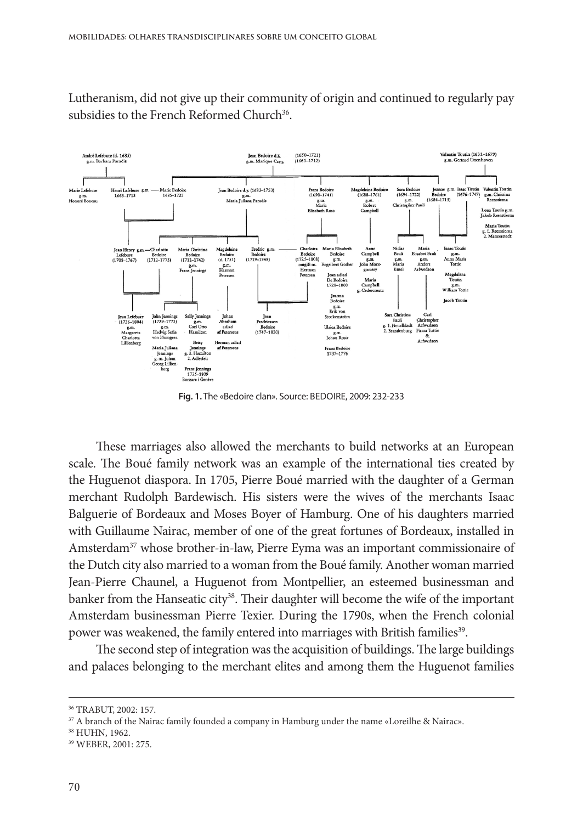Lutheranism, did not give up their community of origin and continued to regularly pay subsidies to the French Reformed Church<sup>36</sup>.



**Fig. 1.** The «Bedoire clan». Source: BEDOIRE, 2009: 232-233

These marriages also allowed the merchants to build networks at an European scale. The Boué family network was an example of the international ties created by the Huguenot diaspora. In 1705, Pierre Boué married with the daughter of a German merchant Rudolph Bardewisch. His sisters were the wives of the merchants Isaac Balguerie of Bordeaux and Moses Boyer of Hamburg. One of his daughters married with Guillaume Nairac, member of one of the great fortunes of Bordeaux, installed in Amsterdam37 whose brother-in-law, Pierre Eyma was an important commissionaire of the Dutch city also married to a woman from the Boué family. Another woman married Jean-Pierre Chaunel, a Huguenot from Montpellier, an esteemed businessman and banker from the Hanseatic city<sup>38</sup>. Their daughter will become the wife of the important Amsterdam businessman Pierre Texier. During the 1790s, when the French colonial power was weakened, the family entered into marriages with British families<sup>39</sup>.

The second step of integration was the acquisition of buildings. The large buildings and palaces belonging to the merchant elites and among them the Huguenot families

<sup>36</sup> TRABUT, 2002: 157.

<sup>&</sup>lt;sup>37</sup> A branch of the Nairac family founded a company in Hamburg under the name «Loreilhe & Nairac».

<sup>38</sup> HUHN, 1962.

<sup>39</sup> WEBER, 2001: 275.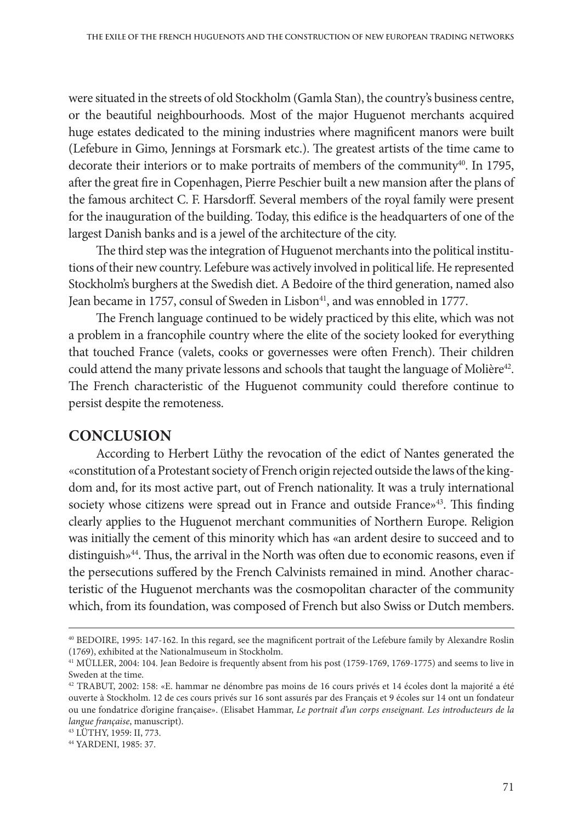were situated in the streets of old Stockholm (Gamla Stan), the country's business centre, or the beautiful neighbourhoods. Most of the major Huguenot merchants acquired huge estates dedicated to the mining industries where magnificent manors were built (Lefebure in Gimo, Jennings at Forsmark etc.). The greatest artists of the time came to decorate their interiors or to make portraits of members of the community $40$ . In 1795, after the great fire in Copenhagen, Pierre Peschier built a new mansion after the plans of the famous architect C. F. Harsdorff. Several members of the royal family were present for the inauguration of the building. Today, this edifice is the headquarters of one of the largest Danish banks and is a jewel of the architecture of the city.

The third step was the integration of Huguenot merchants into the political institutions of their new country. Lefebure was actively involved in political life. He represented Stockholm's burghers at the Swedish diet. A Bedoire of the third generation, named also Jean became in 1757, consul of Sweden in Lisbon<sup>41</sup>, and was ennobled in 1777.

The French language continued to be widely practiced by this elite, which was not a problem in a francophile country where the elite of the society looked for everything that touched France (valets, cooks or governesses were often French). Their children could attend the many private lessons and schools that taught the language of Molière<sup>42</sup>. The French characteristic of the Huguenot community could therefore continue to persist despite the remoteness.

#### **CONCLUSION**

According to Herbert Lüthy the revocation of the edict of Nantes generated the «constitution of a Protestant society of French origin rejected outside the laws of the kingdom and, for its most active part, out of French nationality. It was a truly international society whose citizens were spread out in France and outside France»<sup>43</sup>. This finding clearly applies to the Huguenot merchant communities of Northern Europe. Religion was initially the cement of this minority which has «an ardent desire to succeed and to distinguish»<sup>44</sup>. Thus, the arrival in the North was often due to economic reasons, even if the persecutions suffered by the French Calvinists remained in mind. Another characteristic of the Huguenot merchants was the cosmopolitan character of the community which, from its foundation, was composed of French but also Swiss or Dutch members.

43 LÜTHY, 1959: II, 773.

<sup>40</sup> BEDOIRE, 1995: 147-162. In this regard, see the magnificent portrait of the Lefebure family by Alexandre Roslin (1769), exhibited at the Nationalmuseum in Stockholm.

<sup>41</sup> MÜLLER, 2004: 104. Jean Bedoire is frequently absent from his post (1759-1769, 1769-1775) and seems to live in Sweden at the time.

<sup>42</sup> TRABUT, 2002: 158: «E. hammar ne dénombre pas moins de 16 cours privés et 14 écoles dont la majorité a été ouverte à Stockholm. 12 de ces cours privés sur 16 sont assurés par des Français et 9 écoles sur 14 ont un fondateur ou une fondatrice d'origine française». (Elisabet Hammar, *Le portrait d'un corps enseignant. Les introducteurs de la langue française*, manuscript).

<sup>44</sup> YARDENI, 1985: 37.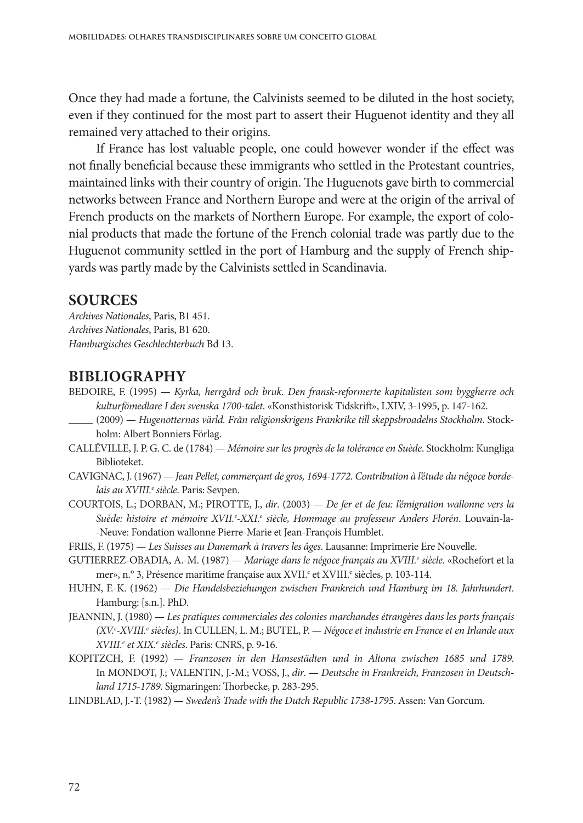Once they had made a fortune, the Calvinists seemed to be diluted in the host society, even if they continued for the most part to assert their Huguenot identity and they all remained very attached to their origins.

If France has lost valuable people, one could however wonder if the effect was not finally beneficial because these immigrants who settled in the Protestant countries, maintained links with their country of origin. The Huguenots gave birth to commercial networks between France and Northern Europe and were at the origin of the arrival of French products on the markets of Northern Europe. For example, the export of colonial products that made the fortune of the French colonial trade was partly due to the Huguenot community settled in the port of Hamburg and the supply of French shipyards was partly made by the Calvinists settled in Scandinavia.

#### **SOURCES**

*Archives Nationales*, Paris, B1 451. *Archives Nationales*, Paris, B1 620. *Hamburgisches Geschlechterbuch* Bd 13.

#### **BIBLIOGRAPHY**

- BEDOIRE, F. (1995) *Kyrka, herrgård och bruk. Den fransk-reformerte kapitalisten som byggherre och kulturfömedlare I den svenska 1700-talet*. «Konsthistorisk Tidskrift», LXIV, 3-1995, p. 147-162.
- (2009) *Hugenotternas värld. Från religionskrigens Frankrike till skeppsbroadelns Stockholm*. Stock‑ holm: Albert Bonniers Förlag.
- CALLÉVILLE, J. P. G. C. de (1784) *Mémoire sur les progrès de la tolérance en Suède*. Stockholm: Kungliga Biblioteket.
- CAVIGNAC, J. (1967) *Jean Pellet, commerçant de gros, 1694-1772. Contribution à l'étude du négoce bordelais au XVIII.e siècle*. Paris: Sevpen.
- COURTOIS, L.; DORBAN, M.; PIROTTE, J., *dir*. (2003) *De fer et de feu: l'émigration wallonne vers la Suède: histoire et mémoire XVII.e -XXI.e siècle, Hommage au professeur Anders Florén*. Louvain-la--Neuve: Fondation wallonne Pierre-Marie et Jean-François Humblet.

FRIIS, F. (1975) — *Les Suisses au Danemark à travers les âges*. Lausanne: Imprimerie Ere Nouvelle.

- GUTIERREZ-OBADIA, A.-M. (1987) *Mariage dans le négoce français au XVIII.<sup>e</sup> siècle.* «Rochefort et la mer», n.º 3, Présence maritime française aux XVII.<sup>e</sup> et XVIII.<sup>e</sup> siècles, p. 103-114.
- HUHN, F.-K. (1962) *Die Handelsbeziehungen zwischen Frankreich und Hamburg im 18. Jahrhundert*. Hamburg: [s.n.]. PhD.
- JEANNIN, J. (1980) *Les pratiques commerciales des colonies marchandes étrangères dans les ports français (XV.e -XVIII.e siècles)*. In CULLEN, L. M.; BUTEL, P. — *Négoce et industrie en France et en Irlande aux XVIII.e et XIX.e siècles*. Paris: CNRS, p. 9-16.
- KOPITZCH, F. (1992) *Franzosen in den Hansestädten und in Altona zwischen 1685 und 1789*. In MONDOT, J.; VALENTIN, J.-M.; VOSS, J., *dir*. — *Deutsche in Frankreich, Franzosen in Deutschland 1715-1789*. Sigmaringen: Thorbecke, p. 283-295.
- LINDBLAD, J.-T. (1982) *Sweden's Trade with the Dutch Republic 1738-1795*. Assen: Van Gorcum.